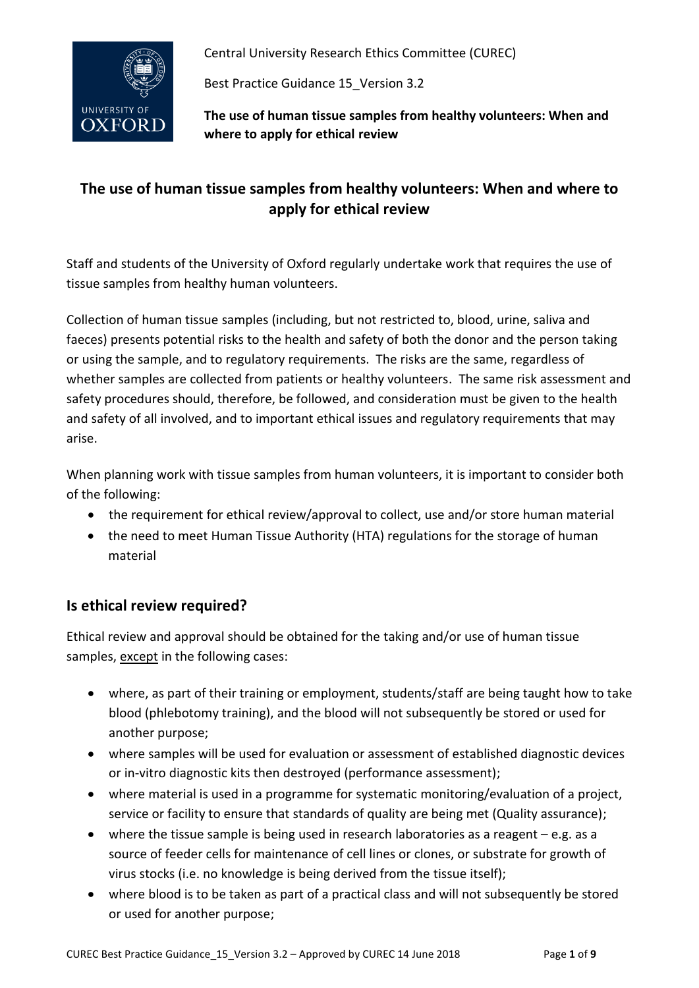

Best Practice Guidance 15\_Version 3.2

**The use of human tissue samples from healthy volunteers: When and where to apply for ethical review**

# **The use of human tissue samples from healthy volunteers: When and where to apply for ethical review**

Staff and students of the University of Oxford regularly undertake work that requires the use of tissue samples from healthy human volunteers.

Collection of human tissue samples (including, but not restricted to, blood, urine, saliva and faeces) presents potential risks to the health and safety of both the donor and the person taking or using the sample, and to regulatory requirements. The risks are the same, regardless of whether samples are collected from patients or healthy volunteers. The same risk assessment and safety procedures should, therefore, be followed, and consideration must be given to the health and safety of all involved, and to important ethical issues and regulatory requirements that may arise.

When planning work with tissue samples from human volunteers, it is important to consider both of the following:

- the requirement for ethical review/approval to collect, use and/or store human material
- the need to meet Human Tissue Authority (HTA) regulations for the storage of human material

## **Is ethical review required?**

Ethical review and approval should be obtained for the taking and/or use of human tissue samples, except in the following cases:

- where, as part of their training or employment, students/staff are being taught how to take blood (phlebotomy training), and the blood will not subsequently be stored or used for another purpose;
- where samples will be used for evaluation or assessment of established diagnostic devices or in-vitro diagnostic kits then destroyed (performance assessment);
- where material is used in a programme for systematic monitoring/evaluation of a project, service or facility to ensure that standards of quality are being met (Quality assurance);
- where the tissue sample is being used in research laboratories as a reagent e.g. as a source of feeder cells for maintenance of cell lines or clones, or substrate for growth of virus stocks (i.e. no knowledge is being derived from the tissue itself);
- where blood is to be taken as part of a practical class and will not subsequently be stored or used for another purpose;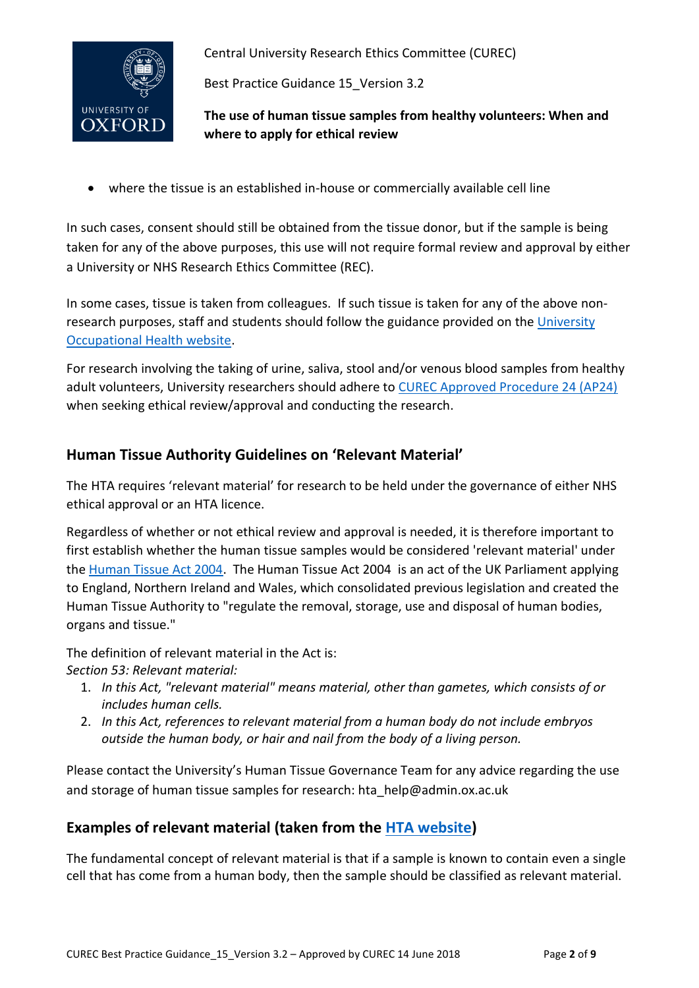

Best Practice Guidance 15\_Version 3.2

**The use of human tissue samples from healthy volunteers: When and where to apply for ethical review**

where the tissue is an established in-house or commercially available cell line

In such cases, consent should still be obtained from the tissue donor, but if the sample is being taken for any of the above purposes, this use will not require formal review and approval by either a University or NHS Research Ethics Committee (REC).

In some cases, tissue is taken from colleagues. If such tissue is taken for any of the above nonresearch purposes, staff and students should follow the guidance provided on th[e University](https://occupationalhealth.admin.ox.ac.uk/files/takingbloodsamplesfromcolleaguesorstudentsforresearchandteachingohspolicydocument1-03pdf)  [Occupational Health website.](https://occupationalhealth.admin.ox.ac.uk/files/takingbloodsamplesfromcolleaguesorstudentsforresearchandteachingohspolicydocument1-03pdf)

For research involving the taking of urine, saliva, stool and/or venous blood samples from healthy adult volunteers, University researchers should adhere to [CUREC Approved Procedure 24 \(AP24\)](http://researchsupport.admin.ox.ac.uk/governance/ethics/resources/ap#collapse5-2) when seeking ethical review/approval and conducting the research.

## **Human Tissue Authority Guidelines on 'Relevant Material'**

The HTA requires 'relevant material' for research to be held under the governance of either NHS ethical approval or an HTA licence.

Regardless of whether or not ethical review and approval is needed, it is therefore important to first establish whether the human tissue samples would be considered ['relevant material'](https://www.hta.gov.uk/policies/relevant-material-under-human-tissue-act-2004) under th[e Human Tissue Act 2004.](https://www.hta.gov.uk/policies/human-tissue-act-2004) The Human Tissue Act 2004 is an act of the UK Parliament applying to England, Northern Ireland and Wales, which consolidated previous legislation and created the Human Tissue Authority to "regulate the removal, storage, use and disposal of human bodies, organs and tissue."

The definition of relevant material in the Act is: *Section 53: Relevant material:*

- 1. *In this Act, "relevant material" means material, other than gametes, which consists of or includes human cells.*
- 2. *In this Act, references to relevant material from a human body do not include embryos outside the human body, or hair and nail from the body of a living person.*

Please contact the University's Human Tissue Governance Team for any advice regarding the use and storage of human tissue samples for research: hta\_help@admin.ox.ac.uk

# **Examples of relevant material (taken from the [HTA website\)](https://www.hta.gov.uk/policies/relevant-material-under-human-tissue-act-2004)**

The fundamental concept of relevant material is that if a sample is known to contain even a single cell that has come from a human body, then the sample should be classified as relevant material.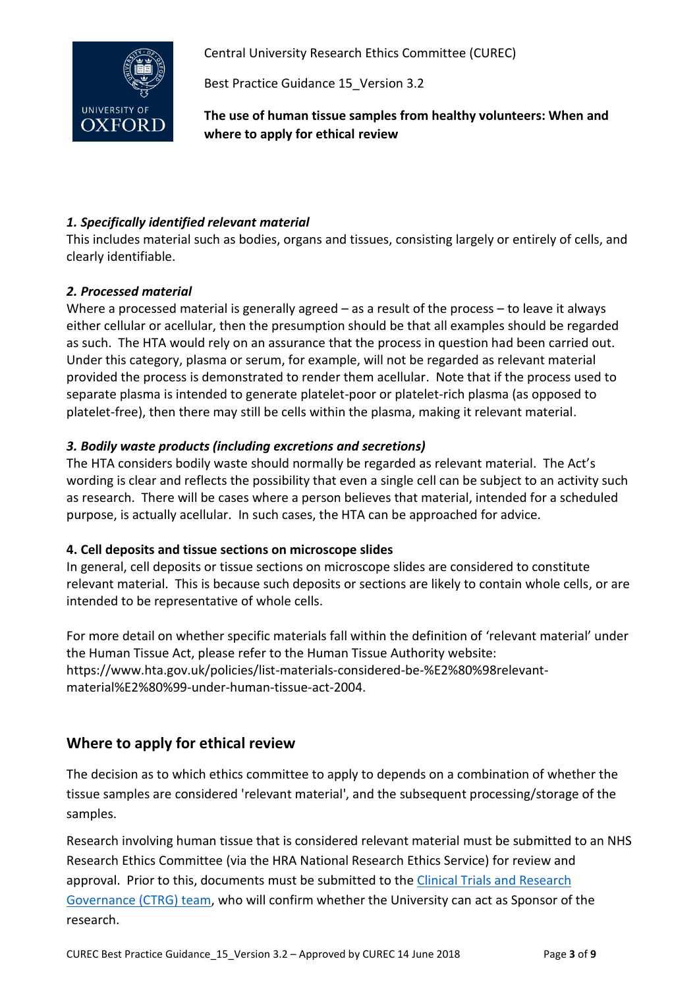

Best Practice Guidance 15\_Version 3.2

**The use of human tissue samples from healthy volunteers: When and where to apply for ethical review**

#### *1. Specifically identified relevant material*

This includes material such as bodies, organs and tissues, consisting largely or entirely of cells, and clearly identifiable.

#### *2. Processed material*

Where a processed material is generally agreed – as a result of the process – to leave it always either cellular or acellular, then the presumption should be that all examples should be regarded as such. The HTA would rely on an assurance that the process in question had been carried out. Under this category, plasma or serum, for example, will not be regarded as relevant material provided the process is demonstrated to render them acellular. Note that if the process used to separate plasma is intended to generate platelet-poor or platelet-rich plasma (as opposed to platelet-free), then there may still be cells within the plasma, making it relevant material.

#### *3. Bodily waste products (including excretions and secretions)*

The HTA considers bodily waste should normally be regarded as relevant material. The Act's wording is clear and reflects the possibility that even a single cell can be subject to an activity such as research. There will be cases where a person believes that material, intended for a scheduled purpose, is actually acellular. In such cases, the HTA can be approached for advice.

#### **4. Cell deposits and tissue sections on microscope slides**

In general, cell deposits or tissue sections on microscope slides are considered to constitute relevant material. This is because such deposits or sections are likely to contain whole cells, or are intended to be representative of whole cells.

For more detail on whether specific materials fall within the definition of 'relevant material' under the Human Tissue Act, please refer to the Human Tissue Authority website: [https://www.hta.gov.uk/policies/list-materials-considered-be-%E2%80%98relevant](https://www.hta.gov.uk/policies/list-materials-considered-be-%E2%80%98relevant-material%E2%80%99-under-human-tissue-act-2004)[material%E2%80%99-under-human-tissue-act-2004.](https://www.hta.gov.uk/policies/list-materials-considered-be-%E2%80%98relevant-material%E2%80%99-under-human-tissue-act-2004)

## **Where to apply for ethical review**

The decision as to which ethics committee to apply to depends on a combination of whether the tissue samples are considered ['relevant material'](https://www.hta.gov.uk/policies/relevant-material-under-human-tissue-act-2004), and the subsequent processing/storage of the samples.

Research involving human tissue that is considered relevant material must be submitted to an NHS Research Ethics Committee (via the HRA National Research Ethics Service) for review and approval. Prior to this, documents must be submitted to the [Clinical Trials and Research](http://researchsupport.admin.ox.ac.uk/contacts/ctrg)  [Governance \(CTRG\) team,](http://researchsupport.admin.ox.ac.uk/contacts/ctrg) who will confirm whether the University can act as Sponsor of the research.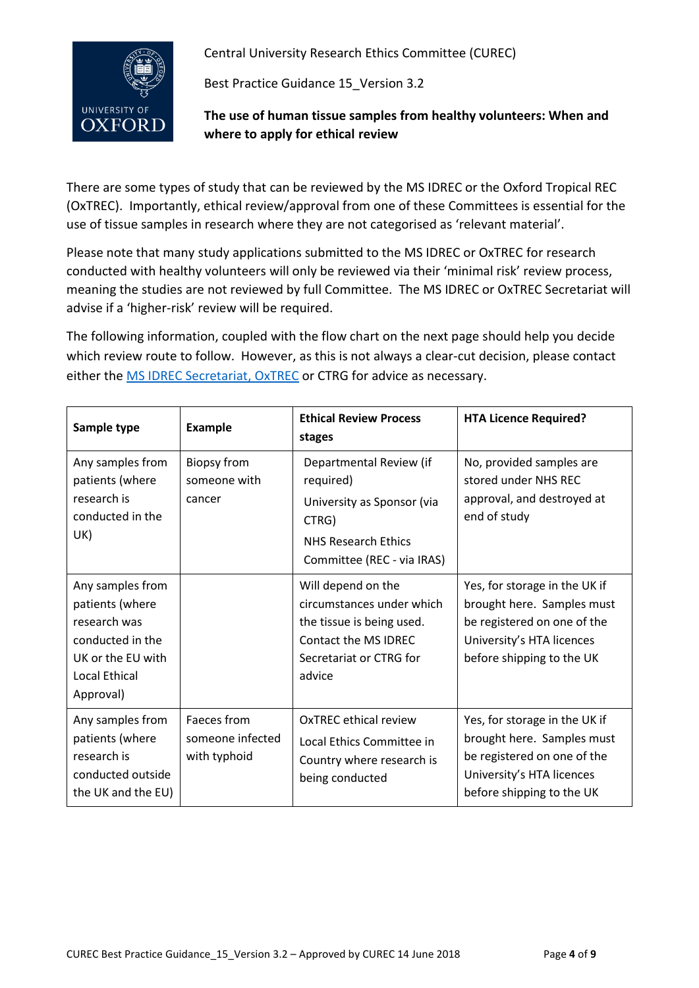

Best Practice Guidance 15\_Version 3.2

**The use of human tissue samples from healthy volunteers: When and where to apply for ethical review**

There are some types of study that can be reviewed by the MS IDREC or the Oxford Tropical REC (OxTREC). Importantly, ethical review/approval from one of these Committees is essential for the use of tissue samples in research where they are not categorised as 'relevant material'.

Please note that many study applications submitted to the MS IDREC or OxTREC for research conducted with healthy volunteers will only be reviewed via their 'minimal risk' review process, meaning the studies are not reviewed by full Committee. The MS IDREC or OxTREC Secretariat will advise if a 'higher-risk' review will be required.

The following information, coupled with the flow chart on the next page should help you decide which review route to follow. However, as this is not always a clear-cut decision, please contact either the [MS IDREC Secretariat,](http://researchsupport.admin.ox.ac.uk/governance/ethics/contacts#collapse1-0) OxTREC or CTRG for advice as necessary.

| Sample type                                                                                                                       | <b>Example</b>                                  | <b>Ethical Review Process</b><br>stages                                                                                                   | <b>HTA Licence Required?</b>                                                                                                                         |
|-----------------------------------------------------------------------------------------------------------------------------------|-------------------------------------------------|-------------------------------------------------------------------------------------------------------------------------------------------|------------------------------------------------------------------------------------------------------------------------------------------------------|
| Any samples from<br>patients (where<br>research is<br>conducted in the<br>UK)                                                     | <b>Biopsy from</b><br>someone with<br>cancer    | Departmental Review (if<br>required)<br>University as Sponsor (via<br>CTRG)<br><b>NHS Research Ethics</b><br>Committee (REC - via IRAS)   | No, provided samples are<br>stored under NHS RFC<br>approval, and destroyed at<br>end of study                                                       |
| Any samples from<br>patients (where<br>research was<br>conducted in the<br>UK or the EU with<br><b>Local Ethical</b><br>Approval) |                                                 | Will depend on the<br>circumstances under which<br>the tissue is being used.<br>Contact the MS IDRFC<br>Secretariat or CTRG for<br>advice | Yes, for storage in the UK if<br>brought here. Samples must<br>be registered on one of the<br>University's HTA licences<br>before shipping to the UK |
| Any samples from<br>patients (where<br>research is<br>conducted outside<br>the UK and the EU)                                     | Faeces from<br>someone infected<br>with typhoid | <b>OxTREC ethical review</b><br>Local Ethics Committee in<br>Country where research is<br>being conducted                                 | Yes, for storage in the UK if<br>brought here. Samples must<br>be registered on one of the<br>University's HTA licences<br>before shipping to the UK |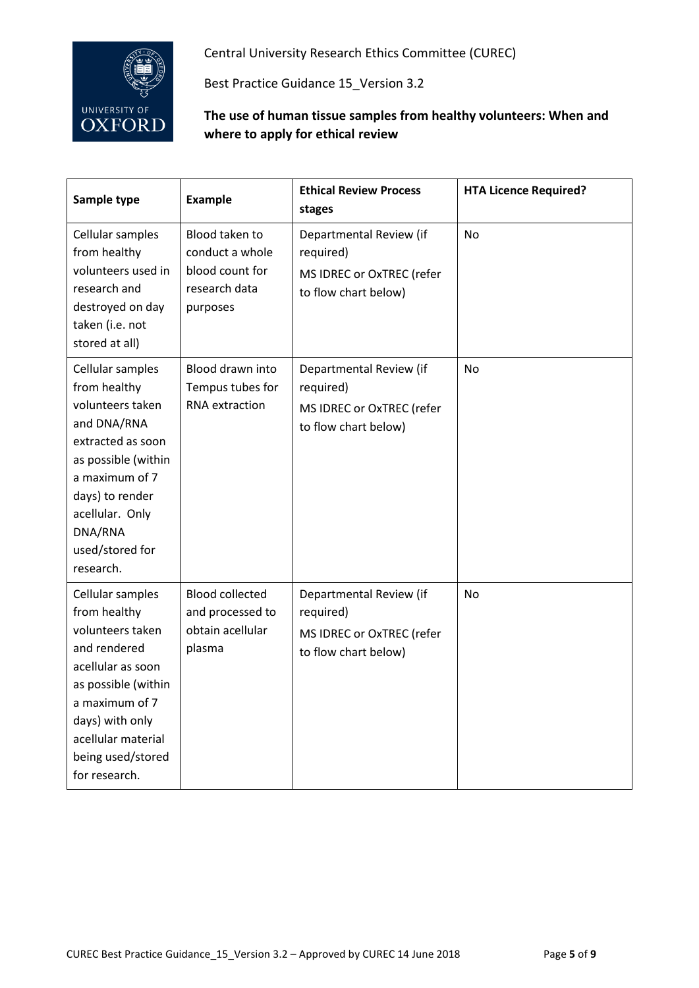

Best Practice Guidance 15\_Version 3.2

#### **The use of human tissue samples from healthy volunteers: When and where to apply for ethical review**

| Sample type                                                                                                                                                                                                        | <b>Example</b>                                                                    | <b>Ethical Review Process</b><br>stages                                                   | <b>HTA Licence Required?</b> |
|--------------------------------------------------------------------------------------------------------------------------------------------------------------------------------------------------------------------|-----------------------------------------------------------------------------------|-------------------------------------------------------------------------------------------|------------------------------|
| Cellular samples<br>from healthy<br>volunteers used in<br>research and<br>destroyed on day<br>taken (i.e. not<br>stored at all)                                                                                    | Blood taken to<br>conduct a whole<br>blood count for<br>research data<br>purposes | Departmental Review (if<br>required)<br>MS IDREC or OxTREC (refer<br>to flow chart below) | <b>No</b>                    |
| Cellular samples<br>from healthy<br>volunteers taken<br>and DNA/RNA<br>extracted as soon<br>as possible (within<br>a maximum of 7<br>days) to render<br>acellular. Only<br>DNA/RNA<br>used/stored for<br>research. | Blood drawn into<br>Tempus tubes for<br><b>RNA</b> extraction                     | Departmental Review (if<br>required)<br>MS IDREC or OxTREC (refer<br>to flow chart below) | <b>No</b>                    |
| Cellular samples<br>from healthy<br>volunteers taken<br>and rendered<br>acellular as soon<br>as possible (within<br>a maximum of 7<br>days) with only<br>acellular material<br>being used/stored<br>for research.  | <b>Blood collected</b><br>and processed to<br>obtain acellular<br>plasma          | Departmental Review (if<br>required)<br>MS IDREC or OxTREC (refer<br>to flow chart below) | No                           |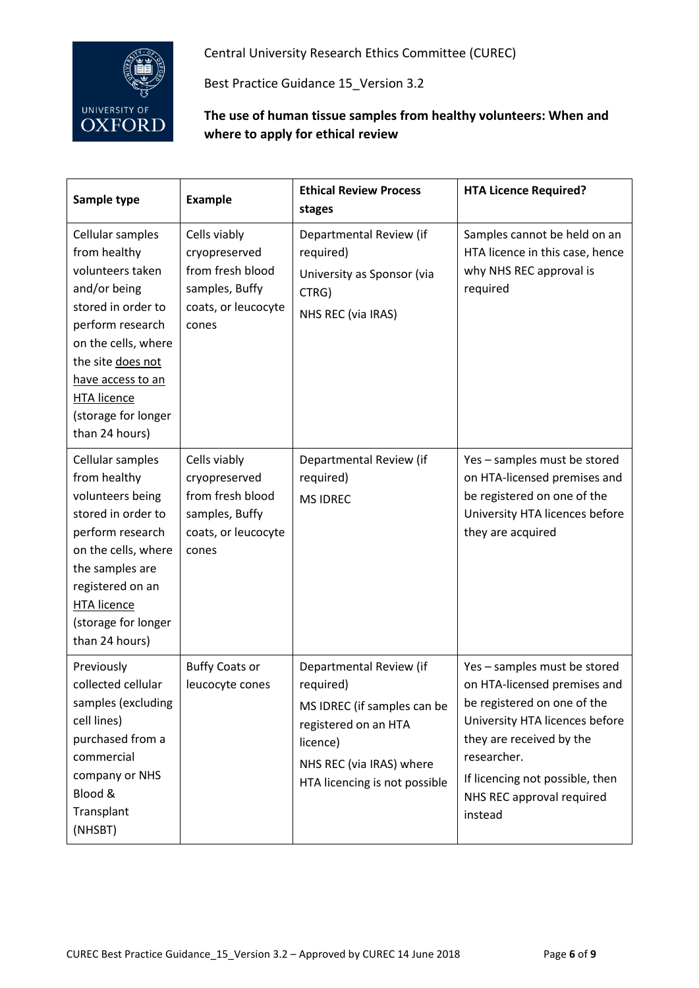

Best Practice Guidance 15\_Version 3.2

#### **The use of human tissue samples from healthy volunteers: When and where to apply for ethical review**

| Sample type                                                                                                                                                                                                                                    | <b>Example</b>                                                                                      | <b>Ethical Review Process</b><br>stages                                                                                                                              | <b>HTA Licence Required?</b>                                                                                                                                                                                                                        |
|------------------------------------------------------------------------------------------------------------------------------------------------------------------------------------------------------------------------------------------------|-----------------------------------------------------------------------------------------------------|----------------------------------------------------------------------------------------------------------------------------------------------------------------------|-----------------------------------------------------------------------------------------------------------------------------------------------------------------------------------------------------------------------------------------------------|
| Cellular samples<br>from healthy<br>volunteers taken<br>and/or being<br>stored in order to<br>perform research<br>on the cells, where<br>the site does not<br>have access to an<br><b>HTA licence</b><br>(storage for longer<br>than 24 hours) | Cells viably<br>cryopreserved<br>from fresh blood<br>samples, Buffy<br>coats, or leucocyte<br>cones | Departmental Review (if<br>required)<br>University as Sponsor (via<br>CTRG)<br>NHS REC (via IRAS)                                                                    | Samples cannot be held on an<br>HTA licence in this case, hence<br>why NHS REC approval is<br>required                                                                                                                                              |
| Cellular samples<br>from healthy<br>volunteers being<br>stored in order to<br>perform research<br>on the cells, where<br>the samples are<br>registered on an<br><b>HTA licence</b><br>(storage for longer<br>than 24 hours)                    | Cells viably<br>cryopreserved<br>from fresh blood<br>samples, Buffy<br>coats, or leucocyte<br>cones | Departmental Review (if<br>required)<br><b>MS IDREC</b>                                                                                                              | Yes - samples must be stored<br>on HTA-licensed premises and<br>be registered on one of the<br>University HTA licences before<br>they are acquired                                                                                                  |
| Previously<br>collected cellular<br>samples (excluding<br>cell lines)<br>purchased from a<br>commercial<br>company or NHS<br>Blood &<br>Transplant<br>(NHSBT)                                                                                  | <b>Buffy Coats or</b><br>leucocyte cones                                                            | Departmental Review (if<br>required)<br>MS IDREC (if samples can be<br>registered on an HTA<br>licence)<br>NHS REC (via IRAS) where<br>HTA licencing is not possible | Yes - samples must be stored<br>on HTA-licensed premises and<br>be registered on one of the<br>University HTA licences before<br>they are received by the<br>researcher.<br>If licencing not possible, then<br>NHS REC approval required<br>instead |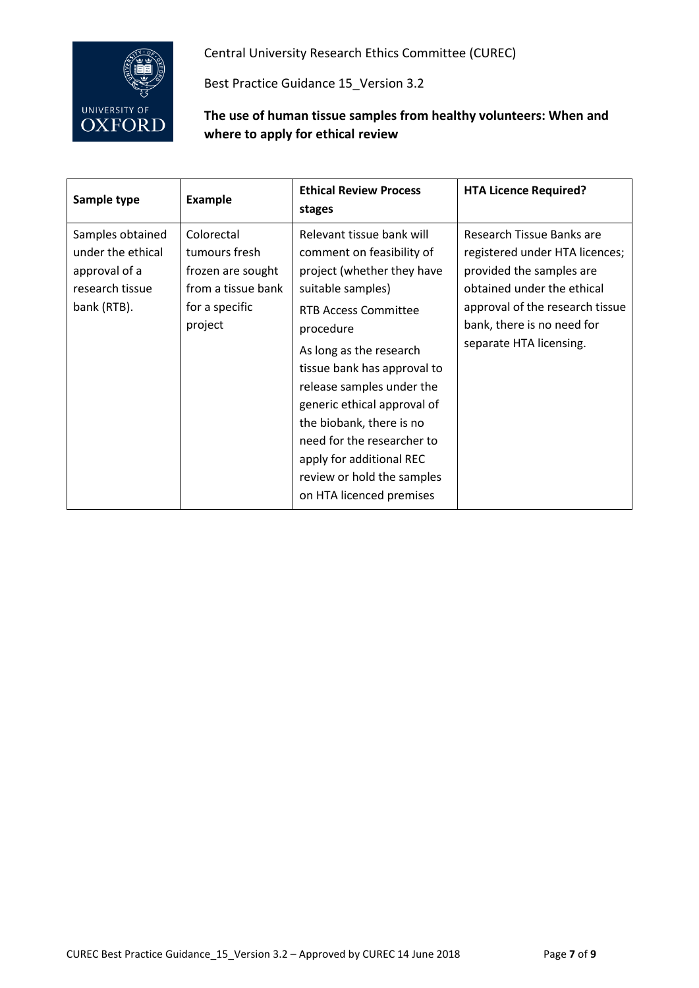

Best Practice Guidance 15\_Version 3.2

#### **The use of human tissue samples from healthy volunteers: When and where to apply for ethical review**

| Sample type                                                                              | <b>Example</b>                                                                                      | <b>Ethical Review Process</b><br>stages                                                                                                                                                                                                                                                                                                                                                                                     | <b>HTA Licence Required?</b>                                                                                                                                                                                      |
|------------------------------------------------------------------------------------------|-----------------------------------------------------------------------------------------------------|-----------------------------------------------------------------------------------------------------------------------------------------------------------------------------------------------------------------------------------------------------------------------------------------------------------------------------------------------------------------------------------------------------------------------------|-------------------------------------------------------------------------------------------------------------------------------------------------------------------------------------------------------------------|
| Samples obtained<br>under the ethical<br>approval of a<br>research tissue<br>bank (RTB). | Colorectal<br>tumours fresh<br>frozen are sought<br>from a tissue bank<br>for a specific<br>project | Relevant tissue bank will<br>comment on feasibility of<br>project (whether they have<br>suitable samples)<br><b>RTB Access Committee</b><br>procedure<br>As long as the research<br>tissue bank has approval to<br>release samples under the<br>generic ethical approval of<br>the biobank, there is no<br>need for the researcher to<br>apply for additional REC<br>review or hold the samples<br>on HTA licenced premises | Research Tissue Banks are<br>registered under HTA licences;<br>provided the samples are<br>obtained under the ethical<br>approval of the research tissue<br>bank, there is no need for<br>separate HTA licensing. |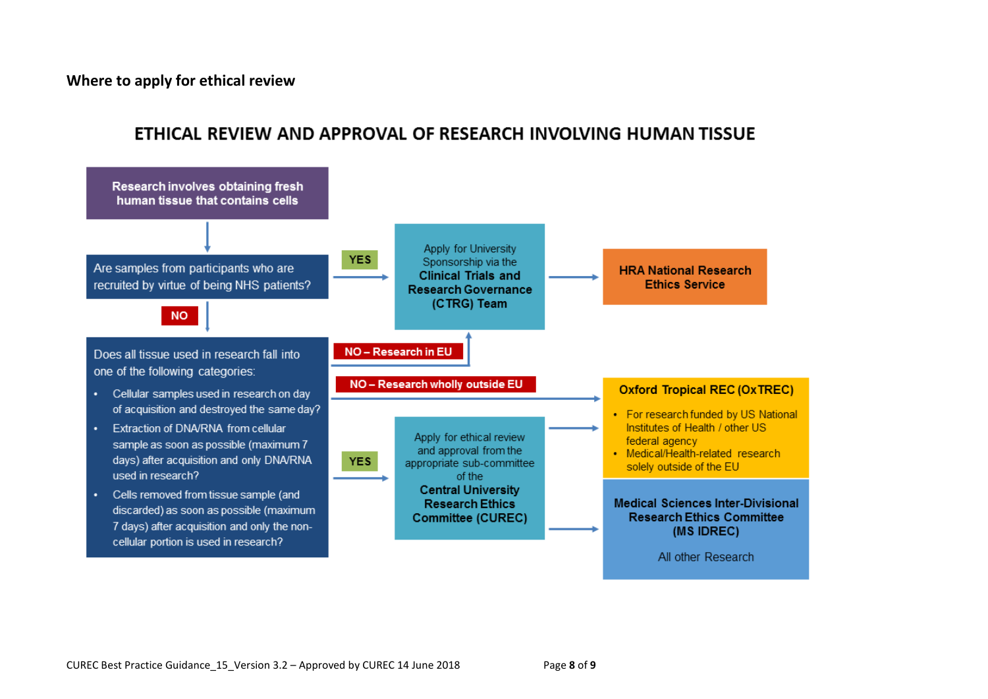**Where to apply for ethical review**



# ETHICAL REVIEW AND APPROVAL OF RESEARCH INVOLVING HUMAN TISSUE